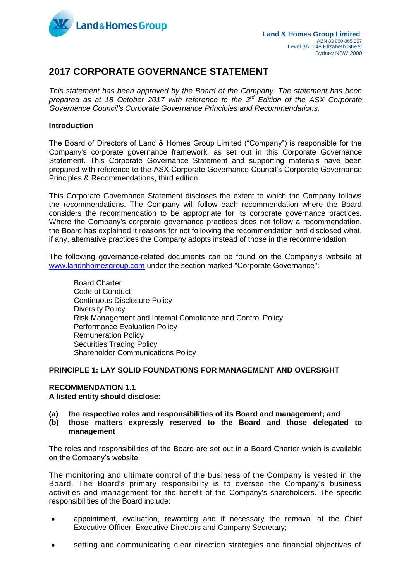

## **2017 CORPORATE GOVERNANCE STATEMENT**

*This statement has been approved by the Board of the Company. The statement has been*  prepared as at 18 October 2017 with reference to the 3<sup>rd</sup> Edition of the ASX Corporate *Governance Council's Corporate Governance Principles and Recommendations.*

## **Introduction**

The Board of Directors of Land & Homes Group Limited ("Company") is responsible for the Company's corporate governance framework, as set out in this Corporate Governance Statement. This Corporate Governance Statement and supporting materials have been prepared with reference to the ASX Corporate Governance Council's Corporate Governance Principles & Recommendations, third edition.

This Corporate Governance Statement discloses the extent to which the Company follows the recommendations. The Company will follow each recommendation where the Board considers the recommendation to be appropriate for its corporate governance practices. Where the Company's corporate governance practices does not follow a recommendation, the Board has explained it reasons for not following the recommendation and disclosed what, if any, alternative practices the Company adopts instead of those in the recommendation.

The following governance-related documents can be found on the Company's website at [www.landnhomesgroup.com](http://www.landnhomesgroup.com/) under the section marked "Corporate Governance":

Board Charter Code of Conduct Continuous Disclosure Policy Diversity Policy Risk Management and Internal Compliance and Control Policy Performance Evaluation Policy Remuneration Policy Securities Trading Policy Shareholder Communications Policy

#### **PRINCIPLE 1: LAY SOLID FOUNDATIONS FOR MANAGEMENT AND OVERSIGHT**

## **RECOMMENDATION 1.1**

**A listed entity should disclose:**

- **(a) the respective roles and responsibilities of its Board and management; and**
- **(b) those matters expressly reserved to the Board and those delegated to management**

The roles and responsibilities of the Board are set out in a Board Charter which is available on the Company's website.

The monitoring and ultimate control of the business of the Company is vested in the Board. The Board's primary responsibility is to oversee the Company's business activities and management for the benefit of the Company's shareholders. The specific responsibilities of the Board include:

- appointment, evaluation, rewarding and if necessary the removal of the Chief Executive Officer, Executive Directors and Company Secretary;
- setting and communicating clear direction strategies and financial objectives of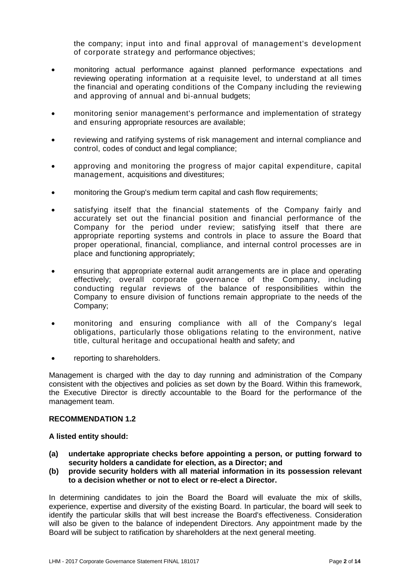the company; input into and final approval of management's development of corporate strategy and performance objectives;

- monitoring actual performance against planned performance expectations and reviewing operating information at a requisite level, to understand at all times the financial and operating conditions of the Company including the reviewing and approving of annual and bi-annual budgets;
- monitoring senior management's performance and implementation of strategy and ensuring appropriate resources are available;
- reviewing and ratifying systems of risk management and internal compliance and control, codes of conduct and legal compliance;
- approving and monitoring the progress of major capital expenditure, capital management, acquisitions and divestitures;
- monitoring the Group's medium term capital and cash flow requirements;
- satisfying itself that the financial statements of the Company fairly and accurately set out the financial position and financial performance of the Company for the period under review; satisfying itself that there are appropriate reporting systems and controls in place to assure the Board that proper operational, financial, compliance, and internal control processes are in place and functioning appropriately;
- ensuring that appropriate external audit arrangements are in place and operating effectively; overall corporate governance of the Company, including conducting regular reviews of the balance of responsibilities within the Company to ensure division of functions remain appropriate to the needs of the Company;
- monitoring and ensuring compliance with all of the Company's legal obligations, particularly those obligations relating to the environment, native title, cultural heritage and occupational health and safety; and
- reporting to shareholders.

Management is charged with the day to day running and administration of the Company consistent with the objectives and policies as set down by the Board. Within this framework, the Executive Director is directly accountable to the Board for the performance of the management team.

## **RECOMMENDATION 1.2**

#### **A listed entity should:**

- **(a) undertake appropriate checks before appointing a person, or putting forward to security holders a candidate for election, as a Director; and**
- **(b) provide security holders with all material information in its possession relevant to a decision whether or not to elect or re-elect a Director.**

In determining candidates to join the Board the Board will evaluate the mix of skills, experience, expertise and diversity of the existing Board. In particular, the board will seek to identify the particular skills that will best increase the Board's effectiveness. Consideration will also be given to the balance of independent Directors. Any appointment made by the Board will be subject to ratification by shareholders at the next general meeting.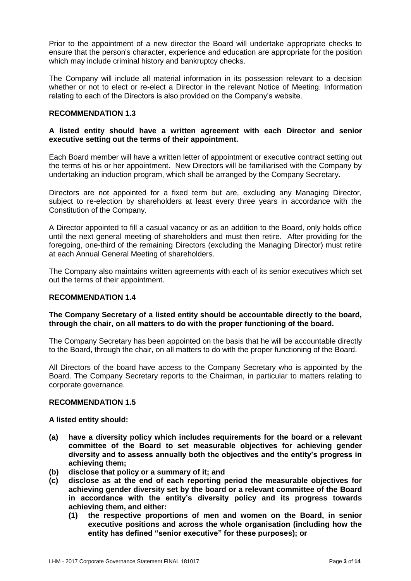Prior to the appointment of a new director the Board will undertake appropriate checks to ensure that the person's character, experience and education are appropriate for the position which may include criminal history and bankruptcy checks.

The Company will include all material information in its possession relevant to a decision whether or not to elect or re-elect a Director in the relevant Notice of Meeting. Information relating to each of the Directors is also provided on the Company's website.

## **RECOMMENDATION 1.3**

## **A listed entity should have a written agreement with each Director and senior executive setting out the terms of their appointment.**

Each Board member will have a written letter of appointment or executive contract setting out the terms of his or her appointment. New Directors will be familiarised with the Company by undertaking an induction program, which shall be arranged by the Company Secretary.

Directors are not appointed for a fixed term but are, excluding any Managing Director, subject to re-election by shareholders at least every three years in accordance with the Constitution of the Company.

A Director appointed to fill a casual vacancy or as an addition to the Board, only holds office until the next general meeting of shareholders and must then retire. After providing for the foregoing, one-third of the remaining Directors (excluding the Managing Director) must retire at each Annual General Meeting of shareholders.

The Company also maintains written agreements with each of its senior executives which set out the terms of their appointment.

#### **RECOMMENDATION 1.4**

## **The Company Secretary of a listed entity should be accountable directly to the board, through the chair, on all matters to do with the proper functioning of the board.**

The Company Secretary has been appointed on the basis that he will be accountable directly to the Board, through the chair, on all matters to do with the proper functioning of the Board.

All Directors of the board have access to the Company Secretary who is appointed by the Board. The Company Secretary reports to the Chairman, in particular to matters relating to corporate governance.

#### **RECOMMENDATION 1.5**

#### **A listed entity should:**

- **(a) have a diversity policy which includes requirements for the board or a relevant committee of the Board to set measurable objectives for achieving gender diversity and to assess annually both the objectives and the entity's progress in achieving them;**
- **(b) disclose that policy or a summary of it; and**
- **(c) disclose as at the end of each reporting period the measurable objectives for achieving gender diversity set by the board or a relevant committee of the Board in accordance with the entity's diversity policy and its progress towards achieving them, and either:**
	- **(1) the respective proportions of men and women on the Board, in senior executive positions and across the whole organisation (including how the entity has defined "senior executive" for these purposes); or**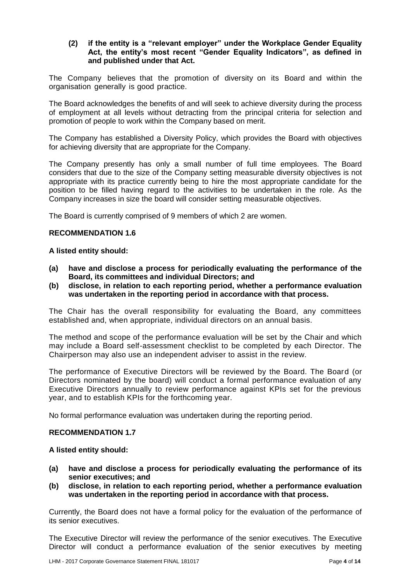## **(2) if the entity is a "relevant employer" under the Workplace Gender Equality Act, the entity's most recent "Gender Equality Indicators", as defined in and published under that Act.**

The Company believes that the promotion of diversity on its Board and within the organisation generally is good practice.

The Board acknowledges the benefits of and will seek to achieve diversity during the process of employment at all levels without detracting from the principal criteria for selection and promotion of people to work within the Company based on merit.

The Company has established a Diversity Policy, which provides the Board with objectives for achieving diversity that are appropriate for the Company.

The Company presently has only a small number of full time employees. The Board considers that due to the size of the Company setting measurable diversity objectives is not appropriate with its practice currently being to hire the most appropriate candidate for the position to be filled having regard to the activities to be undertaken in the role. As the Company increases in size the board will consider setting measurable objectives.

The Board is currently comprised of 9 members of which 2 are women.

## **RECOMMENDATION 1.6**

#### **A listed entity should:**

- **(a) have and disclose a process for periodically evaluating the performance of the Board, its committees and individual Directors; and**
- **(b) disclose, in relation to each reporting period, whether a performance evaluation was undertaken in the reporting period in accordance with that process.**

The Chair has the overall responsibility for evaluating the Board, any committees established and, when appropriate, individual directors on an annual basis.

The method and scope of the performance evaluation will be set by the Chair and which may include a Board self-assessment checklist to be completed by each Director. The Chairperson may also use an independent adviser to assist in the review.

The performance of Executive Directors will be reviewed by the Board. The Board (or Directors nominated by the board) will conduct a formal performance evaluation of any Executive Directors annually to review performance against KPIs set for the previous year, and to establish KPIs for the forthcoming year.

No formal performance evaluation was undertaken during the reporting period.

#### **RECOMMENDATION 1.7**

#### **A listed entity should:**

- **(a) have and disclose a process for periodically evaluating the performance of its senior executives; and**
- **(b) disclose, in relation to each reporting period, whether a performance evaluation was undertaken in the reporting period in accordance with that process.**

Currently, the Board does not have a formal policy for the evaluation of the performance of its senior executives.

The Executive Director will review the performance of the senior executives. The Executive Director will conduct a performance evaluation of the senior executives by meeting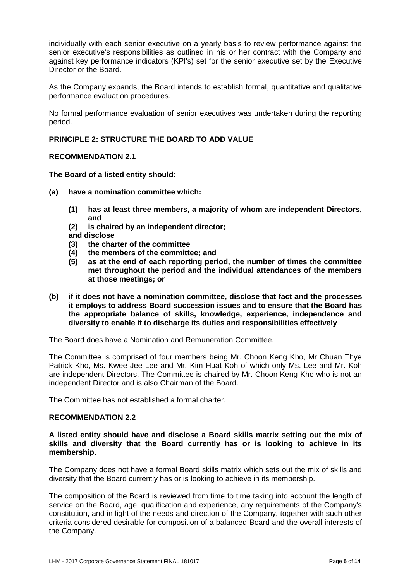individually with each senior executive on a yearly basis to review performance against the senior executive's responsibilities as outlined in his or her contract with the Company and against key performance indicators (KPI's) set for the senior executive set by the Executive Director or the Board.

As the Company expands, the Board intends to establish formal, quantitative and qualitative performance evaluation procedures.

No formal performance evaluation of senior executives was undertaken during the reporting period.

## **PRINCIPLE 2: STRUCTURE THE BOARD TO ADD VALUE**

#### **RECOMMENDATION 2.1**

## **The Board of a listed entity should:**

- **(a) have a nomination committee which:**
	- **(1) has at least three members, a majority of whom are independent Directors, and**
	- **(2) is chaired by an independent director; and disclose**
	- **(3) the charter of the committee**
	- **(4) the members of the committee; and**
	- **(5) as at the end of each reporting period, the number of times the committee met throughout the period and the individual attendances of the members at those meetings; or**
- **(b) if it does not have a nomination committee, disclose that fact and the processes it employs to address Board succession issues and to ensure that the Board has the appropriate balance of skills, knowledge, experience, independence and diversity to enable it to discharge its duties and responsibilities effectively**

The Board does have a Nomination and Remuneration Committee.

The Committee is comprised of four members being Mr. Choon Keng Kho, Mr Chuan Thye Patrick Kho, Ms. Kwee Jee Lee and Mr. Kim Huat Koh of which only Ms. Lee and Mr. Koh are independent Directors. The Committee is chaired by Mr. Choon Keng Kho who is not an independent Director and is also Chairman of the Board.

The Committee has not established a formal charter.

#### **RECOMMENDATION 2.2**

#### **A listed entity should have and disclose a Board skills matrix setting out the mix of skills and diversity that the Board currently has or is looking to achieve in its membership.**

The Company does not have a formal Board skills matrix which sets out the mix of skills and diversity that the Board currently has or is looking to achieve in its membership.

The composition of the Board is reviewed from time to time taking into account the length of service on the Board, age, qualification and experience, any requirements of the Company's constitution, and in light of the needs and direction of the Company, together with such other criteria considered desirable for composition of a balanced Board and the overall interests of the Company.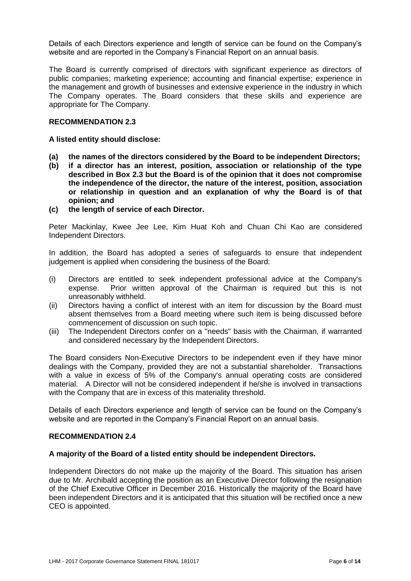Details of each Directors experience and length of service can be found on the Company's website and are reported in the Company's Financial Report on an annual basis.

The Board is currently comprised of directors with significant experience as directors of public companies; marketing experience; accounting and financial expertise; experience in the management and growth of businesses and extensive experience in the industry in which The Company operates. The Board considers that these skills and experience are appropriate for The Company.

## **RECOMMENDATION 2.3**

## **A listed entity should disclose:**

- **(a) the names of the directors considered by the Board to be independent Directors;**
- **(b) if a director has an interest, position, association or relationship of the type described in Box 2.3 but the Board is of the opinion that it does not compromise the independence of the director, the nature of the interest, position, association or relationship in question and an explanation of why the Board is of that opinion; and**
- **(c) the length of service of each Director.**

Peter Mackinlay, Kwee Jee Lee, Kim Huat Koh and Chuan Chi Kao are considered Independent Directors.

In addition, the Board has adopted a series of safeguards to ensure that independent judgement is applied when considering the business of the Board:

- (i) Directors are entitled to seek independent professional advice at the Company's expense. Prior written approval of the Chairman is required but this is not unreasonably withheld.
- (ii) Directors having a conflict of interest with an item for discussion by the Board must absent themselves from a Board meeting where such item is being discussed before commencement of discussion on such topic.
- (iii) The Independent Directors confer on a "needs" basis with the Chairman, if warranted and considered necessary by the Independent Directors.

The Board considers Non-Executive Directors to be independent even if they have minor dealings with the Company, provided they are not a substantial shareholder. Transactions with a value in excess of 5% of the Company's annual operating costs are considered material. A Director will not be considered independent if he/she is involved in transactions with the Company that are in excess of this materiality threshold.

Details of each Directors experience and length of service can be found on the Company's website and are reported in the Company's Financial Report on an annual basis.

#### **RECOMMENDATION 2.4**

#### **A majority of the Board of a listed entity should be independent Directors.**

Independent Directors do not make up the majority of the Board. This situation has arisen due to Mr. Archibald accepting the position as an Executive Director following the resignation of the Chief Executive Officer in December 2016. Historically the majority of the Board have been independent Directors and it is anticipated that this situation will be rectified once a new CEO is appointed.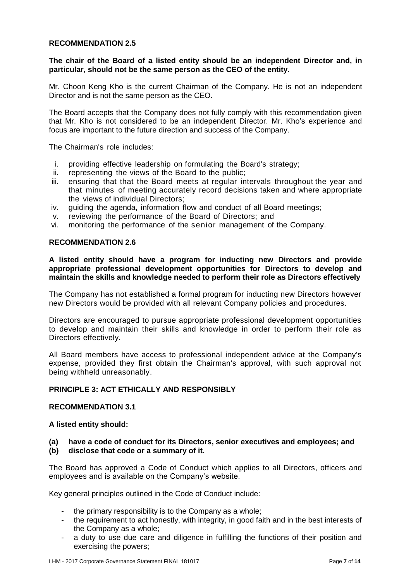## **RECOMMENDATION 2.5**

## **The chair of the Board of a listed entity should be an independent Director and, in particular, should not be the same person as the CEO of the entity.**

Mr. Choon Keng Kho is the current Chairman of the Company. He is not an independent Director and is not the same person as the CEO.

The Board accepts that the Company does not fully comply with this recommendation given that Mr. Kho is not considered to be an independent Director. Mr. Kho's experience and focus are important to the future direction and success of the Company.

The Chairman's role includes:

- i. providing effective leadership on formulating the Board's strategy;
- ii. representing the views of the Board to the public;
- iii. ensuring that that the Board meets at regular intervals throughout the year and that minutes of meeting accurately record decisions taken and where appropriate the views of individual Directors;
- iv. guiding the agenda, information flow and conduct of all Board meetings;
- v. reviewing the performance of the Board of Directors; and
- vi. monitoring the performance of the senior management of the Company.

#### **RECOMMENDATION 2.6**

**A listed entity should have a program for inducting new Directors and provide appropriate professional development opportunities for Directors to develop and maintain the skills and knowledge needed to perform their role as Directors effectively**

The Company has not established a formal program for inducting new Directors however new Directors would be provided with all relevant Company policies and procedures.

Directors are encouraged to pursue appropriate professional development opportunities to develop and maintain their skills and knowledge in order to perform their role as Directors effectively.

All Board members have access to professional independent advice at the Company's expense, provided they first obtain the Chairman's approval, with such approval not being withheld unreasonably.

## **PRINCIPLE 3: ACT ETHICALLY AND RESPONSIBLY**

#### **RECOMMENDATION 3.1**

#### **A listed entity should:**

# **(a) have a code of conduct for its Directors, senior executives and employees; and**

**(b) disclose that code or a summary of it.**

The Board has approved a Code of Conduct which applies to all Directors, officers and employees and is available on the Company's website.

Key general principles outlined in the Code of Conduct include:

- the primary responsibility is to the Company as a whole;
- the requirement to act honestly, with integrity, in good faith and in the best interests of the Company as a whole;
- a duty to use due care and diligence in fulfilling the functions of their position and exercising the powers;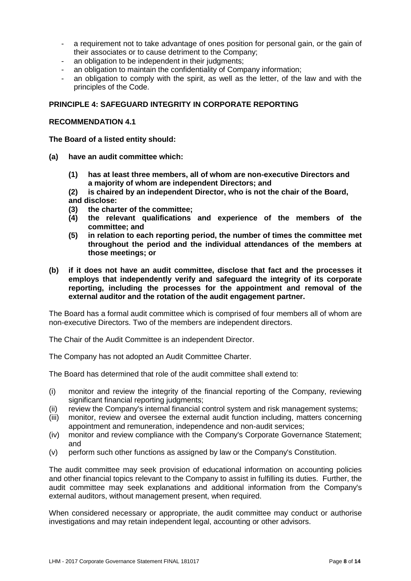- a requirement not to take advantage of ones position for personal gain, or the gain of their associates or to cause detriment to the Company;
- an obligation to be independent in their judgments;
- an obligation to maintain the confidentiality of Company information;
- an obligation to comply with the spirit, as well as the letter, of the law and with the principles of the Code.

## **PRINCIPLE 4: SAFEGUARD INTEGRITY IN CORPORATE REPORTING**

#### **RECOMMENDATION 4.1**

**The Board of a listed entity should:**

- **(a) have an audit committee which:**
	- **(1) has at least three members, all of whom are non-executive Directors and a majority of whom are independent Directors; and**

**(2) is chaired by an independent Director, who is not the chair of the Board, and disclose:**

- **(3) the charter of the committee;**
- **(4) the relevant qualifications and experience of the members of the committee; and**
- **(5) in relation to each reporting period, the number of times the committee met throughout the period and the individual attendances of the members at those meetings; or**
- **(b) if it does not have an audit committee, disclose that fact and the processes it employs that independently verify and safeguard the integrity of its corporate reporting, including the processes for the appointment and removal of the external auditor and the rotation of the audit engagement partner.**

The Board has a formal audit committee which is comprised of four members all of whom are non-executive Directors. Two of the members are independent directors.

The Chair of the Audit Committee is an independent Director.

The Company has not adopted an Audit Committee Charter.

The Board has determined that role of the audit committee shall extend to:

- (i) monitor and review the integrity of the financial reporting of the Company, reviewing significant financial reporting judgments;
- (ii) review the Company's internal financial control system and risk management systems;
- (iii) monitor, review and oversee the external audit function including, matters concerning appointment and remuneration, independence and non-audit services;
- (iv) monitor and review compliance with the Company's Corporate Governance Statement; and
- (v) perform such other functions as assigned by law or the Company's Constitution.

The audit committee may seek provision of educational information on accounting policies and other financial topics relevant to the Company to assist in fulfilling its duties. Further, the audit committee may seek explanations and additional information from the Company's external auditors, without management present, when required.

When considered necessary or appropriate, the audit committee may conduct or authorise investigations and may retain independent legal, accounting or other advisors.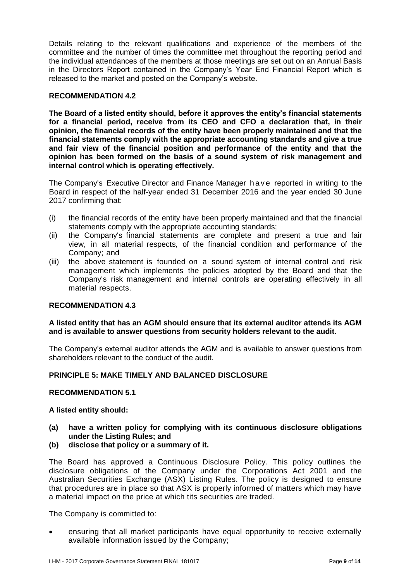Details relating to the relevant qualifications and experience of the members of the committee and the number of times the committee met throughout the reporting period and the individual attendances of the members at those meetings are set out on an Annual Basis in the Directors Report contained in the Company's Year End Financial Report which is released to the market and posted on the Company's website.

## **RECOMMENDATION 4.2**

**The Board of a listed entity should, before it approves the entity's financial statements for a financial period, receive from its CEO and CFO a declaration that, in their opinion, the financial records of the entity have been properly maintained and that the financial statements comply with the appropriate accounting standards and give a true and fair view of the financial position and performance of the entity and that the opinion has been formed on the basis of a sound system of risk management and internal control which is operating effectively.**

The Company's Executive Director and Finance Manager have reported in writing to the Board in respect of the half-year ended 31 December 2016 and the year ended 30 June 2017 confirming that:

- (i) the financial records of the entity have been properly maintained and that the financial statements comply with the appropriate accounting standards;
- (ii) the Company's financial statements are complete and present a true and fair view, in all material respects, of the financial condition and performance of the Company; and
- (iii) the above statement is founded on a sound system of internal control and risk management which implements the policies adopted by the Board and that the Company's risk management and internal controls are operating effectively in all material respects.

#### **RECOMMENDATION 4.3**

## **A listed entity that has an AGM should ensure that its external auditor attends its AGM and is available to answer questions from security holders relevant to the audit.**

The Company's external auditor attends the AGM and is available to answer questions from shareholders relevant to the conduct of the audit.

### **PRINCIPLE 5: MAKE TIMELY AND BALANCED DISCLOSURE**

## **RECOMMENDATION 5.1**

#### **A listed entity should:**

- **(a) have a written policy for complying with its continuous disclosure obligations under the Listing Rules; and**
- **(b) disclose that policy or a summary of it.**

The Board has approved a Continuous Disclosure Policy. This policy outlines the disclosure obligations of the Company under the Corporations Act 2001 and the Australian Securities Exchange (ASX) Listing Rules. The policy is designed to ensure that procedures are in place so that ASX is properly informed of matters which may have a material impact on the price at which tits securities are traded.

The Company is committed to:

 ensuring that all market participants have equal opportunity to receive externally available information issued by the Company;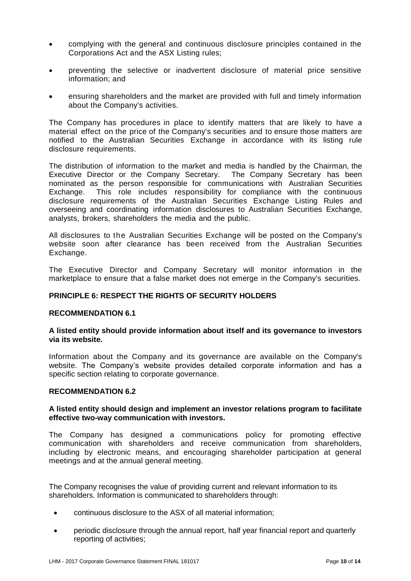- complying with the general and continuous disclosure principles contained in the Corporations Act and the ASX Listing rules;
- preventing the selective or inadvertent disclosure of material price sensitive information; and
- ensuring shareholders and the market are provided with full and timely information about the Company's activities.

The Company has procedures in place to identify matters that are likely to have a material effect on the price of the Company's securities and to ensure those matters are notified to the Australian Securities Exchange in accordance with its listing rule disclosure requirements.

The distribution of information to the market and media is handled by the Chairman, the Executive Director or the Company Secretary. The Company Secretary has been nominated as the person responsible for communications with Australian Securities<br>Exchange. This role includes responsibility for compliance with the continuous This role includes responsibility for compliance with the continuous disclosure requirements of the Australian Securities Exchange Listing Rules and overseeing and coordinating information disclosures to Australian Securities Exchange, analysts, brokers, shareholders the media and the public.

All disclosures to the Australian Securities Exchange will be posted on the Company's website soon after clearance has been received from the Australian Securities Exchange.

The Executive Director and Company Secretary will monitor information in the marketplace to ensure that a false market does not emerge in the Company's securities.

## **PRINCIPLE 6: RESPECT THE RIGHTS OF SECURITY HOLDERS**

#### **RECOMMENDATION 6.1**

## **A listed entity should provide information about itself and its governance to investors via its website.**

Information about the Company and its governance are available on the Company's website. The Company's website provides detailed corporate information and has a specific section relating to corporate governance.

#### **RECOMMENDATION 6.2**

#### **A listed entity should design and implement an investor relations program to facilitate effective two-way communication with investors.**

The Company has designed a communications policy for promoting effective communication with shareholders and receive communication from shareholders, including by electronic means, and encouraging shareholder participation at general meetings and at the annual general meeting.

The Company recognises the value of providing current and relevant information to its shareholders. Information is communicated to shareholders through:

- continuous disclosure to the ASX of all material information;
- periodic disclosure through the annual report, half year financial report and quarterly reporting of activities;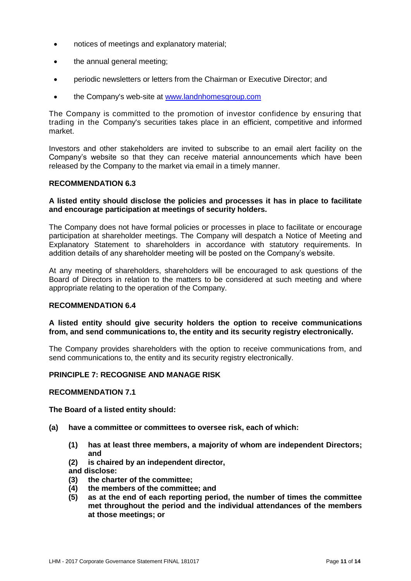- notices of meetings and explanatory material;
- the annual general meeting;
- periodic newsletters or letters from the Chairman or Executive Director; and
- the Company's web-site at [www.landnhomesgroup.com](http://www.landnhomesgroup.com/)

The Company is committed to the promotion of investor confidence by ensuring that trading in the Company's securities takes place in an efficient, competitive and informed market.

Investors and other stakeholders are invited to subscribe to an email alert facility on the Company's website so that they can receive material announcements which have been released by the Company to the market via email in a timely manner.

#### **RECOMMENDATION 6.3**

## **A listed entity should disclose the policies and processes it has in place to facilitate and encourage participation at meetings of security holders.**

The Company does not have formal policies or processes in place to facilitate or encourage participation at shareholder meetings. The Company will despatch a Notice of Meeting and Explanatory Statement to shareholders in accordance with statutory requirements. In addition details of any shareholder meeting will be posted on the Company's website.

At any meeting of shareholders, shareholders will be encouraged to ask questions of the Board of Directors in relation to the matters to be considered at such meeting and where appropriate relating to the operation of the Company.

## **RECOMMENDATION 6.4**

## **A listed entity should give security holders the option to receive communications from, and send communications to, the entity and its security registry electronically.**

The Company provides shareholders with the option to receive communications from, and send communications to, the entity and its security registry electronically.

## **PRINCIPLE 7: RECOGNISE AND MANAGE RISK**

## **RECOMMENDATION 7.1**

**The Board of a listed entity should:**

- **(a) have a committee or committees to oversee risk, each of which:**
	- **(1) has at least three members, a majority of whom are independent Directors; and**
	- **(2) is chaired by an independent director,**
	- **and disclose:**
	- **(3) the charter of the committee;**
	- **(4) the members of the committee; and**
	- **(5) as at the end of each reporting period, the number of times the committee met throughout the period and the individual attendances of the members at those meetings; or**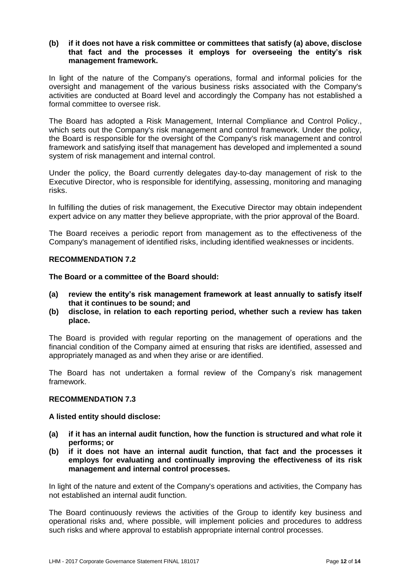## **(b) if it does not have a risk committee or committees that satisfy (a) above, disclose that fact and the processes it employs for overseeing the entity's risk management framework.**

In light of the nature of the Company's operations, formal and informal policies for the oversight and management of the various business risks associated with the Company's activities are conducted at Board level and accordingly the Company has not established a formal committee to oversee risk.

The Board has adopted a Risk Management, Internal Compliance and Control Policy., which sets out the Company's risk management and control framework. Under the policy, the Board is responsible for the oversight of the Company's risk management and control framework and satisfying itself that management has developed and implemented a sound system of risk management and internal control.

Under the policy, the Board currently delegates day-to-day management of risk to the Executive Director, who is responsible for identifying, assessing, monitoring and managing risks.

In fulfilling the duties of risk management, the Executive Director may obtain independent expert advice on any matter they believe appropriate, with the prior approval of the Board.

The Board receives a periodic report from management as to the effectiveness of the Company's management of identified risks, including identified weaknesses or incidents.

## **RECOMMENDATION 7.2**

**The Board or a committee of the Board should:**

- **(a) review the entity's risk management framework at least annually to satisfy itself that it continues to be sound; and**
- **(b) disclose, in relation to each reporting period, whether such a review has taken place.**

The Board is provided with regular reporting on the management of operations and the financial condition of the Company aimed at ensuring that risks are identified, assessed and appropriately managed as and when they arise or are identified.

The Board has not undertaken a formal review of the Company's risk management framework.

## **RECOMMENDATION 7.3**

#### **A listed entity should disclose:**

- **(a) if it has an internal audit function, how the function is structured and what role it performs; or**
- **(b) if it does not have an internal audit function, that fact and the processes it employs for evaluating and continually improving the effectiveness of its risk management and internal control processes.**

In light of the nature and extent of the Company's operations and activities, the Company has not established an internal audit function.

The Board continuously reviews the activities of the Group to identify key business and operational risks and, where possible, will implement policies and procedures to address such risks and where approval to establish appropriate internal control processes.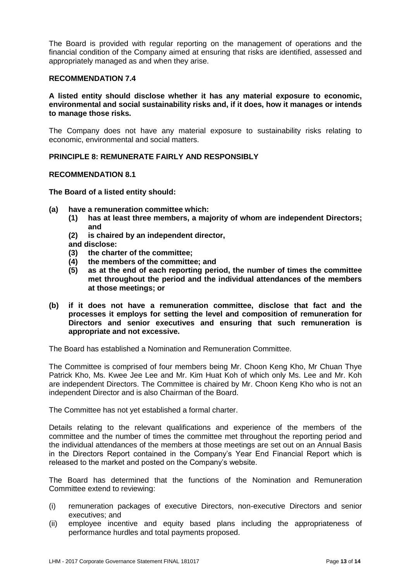The Board is provided with regular reporting on the management of operations and the financial condition of the Company aimed at ensuring that risks are identified, assessed and appropriately managed as and when they arise.

## **RECOMMENDATION 7.4**

## **A listed entity should disclose whether it has any material exposure to economic, environmental and social sustainability risks and, if it does, how it manages or intends to manage those risks.**

The Company does not have any material exposure to sustainability risks relating to economic, environmental and social matters.

## **PRINCIPLE 8: REMUNERATE FAIRLY AND RESPONSIBLY**

#### **RECOMMENDATION 8.1**

**The Board of a listed entity should:**

- **(a) have a remuneration committee which:**
	- **(1) has at least three members, a majority of whom are independent Directors; and**
	- **(2) is chaired by an independent director,**
	- **and disclose:**
	- **(3) the charter of the committee;**
	- **(4) the members of the committee; and**
	- **(5) as at the end of each reporting period, the number of times the committee met throughout the period and the individual attendances of the members at those meetings; or**
- **(b) if it does not have a remuneration committee, disclose that fact and the processes it employs for setting the level and composition of remuneration for Directors and senior executives and ensuring that such remuneration is appropriate and not excessive.**

The Board has established a Nomination and Remuneration Committee.

The Committee is comprised of four members being Mr. Choon Keng Kho, Mr Chuan Thye Patrick Kho, Ms. Kwee Jee Lee and Mr. Kim Huat Koh of which only Ms. Lee and Mr. Koh are independent Directors. The Committee is chaired by Mr. Choon Keng Kho who is not an independent Director and is also Chairman of the Board.

The Committee has not yet established a formal charter.

Details relating to the relevant qualifications and experience of the members of the committee and the number of times the committee met throughout the reporting period and the individual attendances of the members at those meetings are set out on an Annual Basis in the Directors Report contained in the Company's Year End Financial Report which is released to the market and posted on the Company's website.

The Board has determined that the functions of the Nomination and Remuneration Committee extend to reviewing:

- (i) remuneration packages of executive Directors, non-executive Directors and senior executives; and
- (ii) employee incentive and equity based plans including the appropriateness of performance hurdles and total payments proposed.